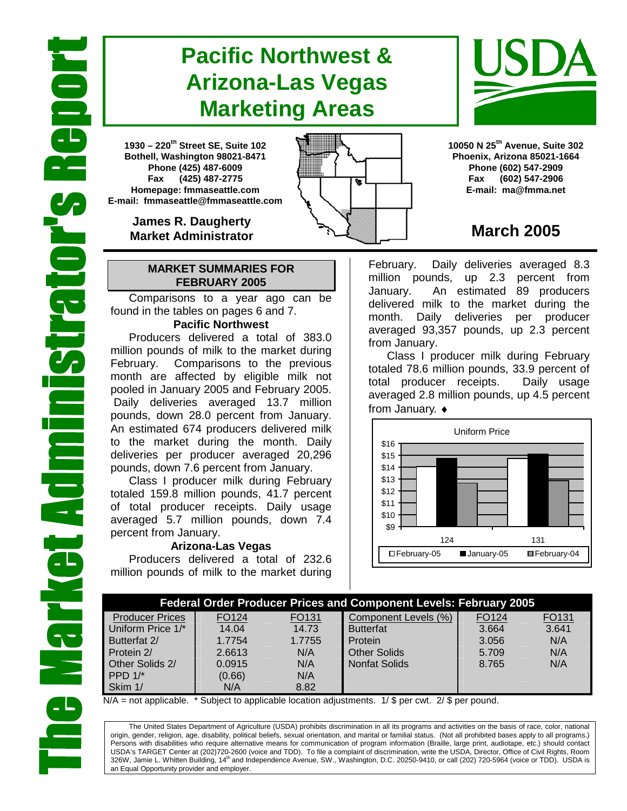# **Pacific Northwest & Arizona-Las Vegas Marketing Areas**

**1930 – 220th Street SE, Suite 102 Bothell, Washington 98021-8471 Phone (425) 487-6009 Fax (425) 487-2775 Homepage: fmmaseattle.com E-mail: fmmaseattle@fmmaseattle.com**

> **James R. Daugherty Market Administrator**

### **MARKET SUMMARIES FOR FEBRUARY 2005**

 Comparisons to a year ago can be found in the tables on pages 6 and 7.

### **Pacific Northwest**

Producers delivered a total of 383.0 million pounds of milk to the market during February. Comparisons to the previous month are affected by eligible milk not pooled in January 2005 and February 2005. Daily deliveries averaged 13.7 million pounds, down 28.0 percent from January. An estimated 674 producers delivered milk to the market during the month. Daily deliveries per producer averaged 20,296 pounds, down 7.6 percent from January.

Class I producer milk during February totaled 159.8 million pounds, 41.7 percent of total producer receipts. Daily usage averaged 5.7 million pounds, down 7.4 percent from January.

### **Arizona-Las Vegas**

Producers delivered a total of 232.6 million pounds of milk to the market during **10050 N 25th Avenue, Suite 302 Phoenix, Arizona 85021-1664 Phone (602) 547-2909 Fax (602) 547-2906 E-mail: ma@fmma.net**

## **March 2005**

February. Daily deliveries averaged 8.3 million pounds, up 2.3 percent from January. An estimated 89 producers delivered milk to the market during the month. Daily deliveries per producer averaged 93,357 pounds, up 2.3 percent from January.

Class I producer milk during February totaled 78.6 million pounds, 33.9 percent of total producer receipts. Daily usage averaged 2.8 million pounds, up 4.5 percent from January. ♦



| <b>Federal Order Producer Prices and Component Levels: February 2005</b> |                   |        |                      |       |       |  |  |  |
|--------------------------------------------------------------------------|-------------------|--------|----------------------|-------|-------|--|--|--|
| <b>Producer Prices</b>                                                   | FO <sub>124</sub> | FO131  | Component Levels (%) | FO124 | FO131 |  |  |  |
| Uniform Price 1/*                                                        | 14.04             | 14.73  | <b>Butterfat</b>     | 3.664 | 3.641 |  |  |  |
| Butterfat 2/                                                             | 1.7754            | 1.7755 | Protein              | 3.056 | N/A   |  |  |  |
| Protein 2/                                                               | 2.6613            | N/A    | <b>Other Solids</b>  | 5.709 | N/A   |  |  |  |
| Other Solids 2/                                                          | 0.0915            | N/A    | <b>Nonfat Solids</b> | 8.765 | N/A   |  |  |  |
| PPD $1/*$                                                                | (0.66)            | N/A    |                      |       |       |  |  |  |
| Skim 1/                                                                  | N/A               | 8.82   |                      |       |       |  |  |  |

 $N/A$  = not applicable. \* Subject to applicable location adjustments. 1/ \$ per cwt. 2/ \$ per pound.

The United States Department of Agriculture (USDA) prohibits discrimination in all its programs and activities on the basis of race, color, national origin, gender, religion, age, disability, political beliefs, sexual orientation, and marital or familial status. (Not all prohibited bases apply to all programs.) Persons with disabilities who require alternative means for communication of program information (Braille, large print, audiotape, etc.) should contact USDA's TARGET Center at (202)720-2600 (voice and TDD). To file a complaint of discrimination, write the USDA, Director, Office of Civil Rights, Room 326W, Jamie L. Whitten Building, 14<sup>th</sup> and Independence Avenue, SW., Washington, D.C. 20250-9410, or call (202) 720-5964 (voice or TDD). USDA is an Equal Opportunity provider and employer.



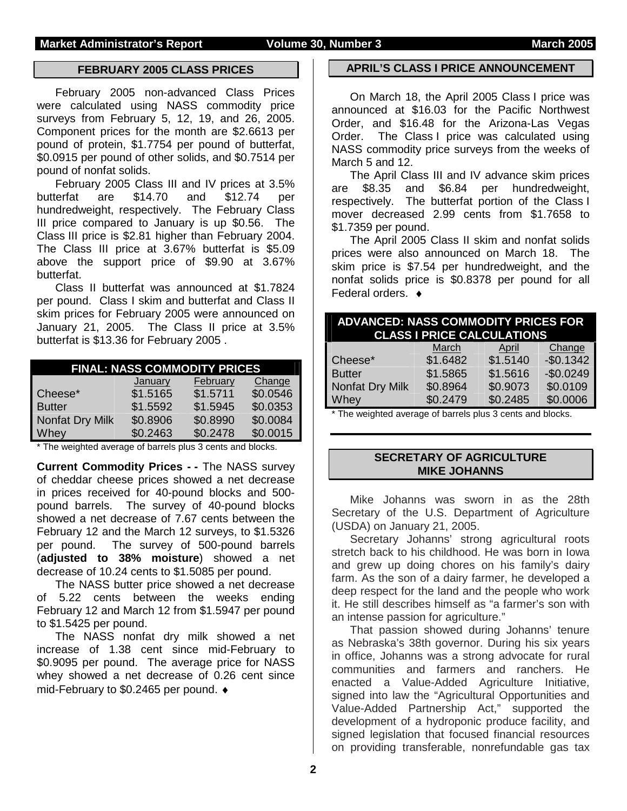### **FEBRUARY 2005 CLASS PRICES**

February 2005 non-advanced Class Prices were calculated using NASS commodity price surveys from February 5, 12, 19, and 26, 2005. Component prices for the month are \$2.6613 per pound of protein, \$1.7754 per pound of butterfat, \$0.0915 per pound of other solids, and \$0.7514 per pound of nonfat solids.

 February 2005 Class III and IV prices at 3.5% butterfat are \$14.70 and \$12.74 per hundredweight, respectively. The February Class III price compared to January is up \$0.56. The Class III price is \$2.81 higher than February 2004. The Class III price at 3.67% butterfat is \$5.09 above the support price of \$9.90 at 3.67% butterfat.

Class II butterfat was announced at \$1.7824 per pound. Class I skim and butterfat and Class II skim prices for February 2005 were announced on January 21, 2005. The Class II price at 3.5% butterfat is \$13.36 for February 2005 .

| <b>FINAL: NASS COMMODITY PRICES</b> |          |          |          |  |  |  |  |  |  |
|-------------------------------------|----------|----------|----------|--|--|--|--|--|--|
|                                     | January  | February | Change   |  |  |  |  |  |  |
| Cheese*                             | \$1.5165 | \$1.5711 | \$0.0546 |  |  |  |  |  |  |
| <b>Butter</b>                       | \$1.5592 | \$1.5945 | \$0.0353 |  |  |  |  |  |  |
| Nonfat Dry Milk                     | \$0.8906 | \$0.8990 | \$0.0084 |  |  |  |  |  |  |
| Whey                                | \$0.2463 | \$0.2478 | \$0.0015 |  |  |  |  |  |  |

\* The weighted average of barrels plus 3 cents and blocks.

**Current Commodity Prices - -** The NASS survey of cheddar cheese prices showed a net decrease in prices received for 40-pound blocks and 500 pound barrels. The survey of 40-pound blocks showed a net decrease of 7.67 cents between the February 12 and the March 12 surveys, to \$1.5326 per pound. The survey of 500-pound barrels (**adjusted to 38% moisture**) showed a net decrease of 10.24 cents to \$1.5085 per pound.

The NASS butter price showed a net decrease of 5.22 cents between the weeks ending February 12 and March 12 from \$1.5947 per pound to \$1.5425 per pound.

The NASS nonfat dry milk showed a net increase of 1.38 cent since mid-February to \$0.9095 per pound. The average price for NASS whey showed a net decrease of 0.26 cent since mid-February to \$0.2465 per pound. ♦

### **APRIL'S CLASS I PRICE ANNOUNCEMENT**

 On March 18, the April 2005 Class I price was announced at \$16.03 for the Pacific Northwest Order, and \$16.48 for the Arizona-Las Vegas Order. The Class I price was calculated using NASS commodity price surveys from the weeks of March 5 and 12.

 The April Class III and IV advance skim prices are \$8.35 and \$6.84 per hundredweight, respectively. The butterfat portion of the Class I mover decreased 2.99 cents from \$1.7658 to \$1.7359 per pound.

 The April 2005 Class II skim and nonfat solids prices were also announced on March 18. The skim price is \$7.54 per hundredweight, and the nonfat solids price is \$0.8378 per pound for all Federal orders. ♦

| <b>ADVANCED: NASS COMMODITY PRICES FOR</b><br><b>CLASS I PRICE CALCULATIONS</b> |          |            |  |  |  |  |  |  |  |
|---------------------------------------------------------------------------------|----------|------------|--|--|--|--|--|--|--|
| March                                                                           | April    | Change     |  |  |  |  |  |  |  |
| \$1.6482                                                                        | \$1.5140 | $-$0.1342$ |  |  |  |  |  |  |  |
| \$1.5865                                                                        | \$1.5616 | $-$0.0249$ |  |  |  |  |  |  |  |
| \$0.8964                                                                        | \$0.9073 | \$0.0109   |  |  |  |  |  |  |  |
| \$0.2479                                                                        | \$0.2485 | \$0.0006   |  |  |  |  |  |  |  |
|                                                                                 | .        |            |  |  |  |  |  |  |  |

\* The weighted average of barrels plus 3 cents and blocks.

### **SECRETARY OF AGRICULTURE MIKE JOHANNS**

Mike Johanns was sworn in as the 28th Secretary of the U.S. Department of Agriculture (USDA) on January 21, 2005.

Secretary Johanns' strong agricultural roots stretch back to his childhood. He was born in Iowa and grew up doing chores on his family's dairy farm. As the son of a dairy farmer, he developed a deep respect for the land and the people who work it. He still describes himself as "a farmer's son with an intense passion for agriculture."

That passion showed during Johanns' tenure as Nebraska's 38th governor. During his six years in office, Johanns was a strong advocate for rural communities and farmers and ranchers. He enacted a Value-Added Agriculture Initiative, signed into law the "Agricultural Opportunities and Value-Added Partnership Act," supported the development of a hydroponic produce facility, and signed legislation that focused financial resources on providing transferable, nonrefundable gas tax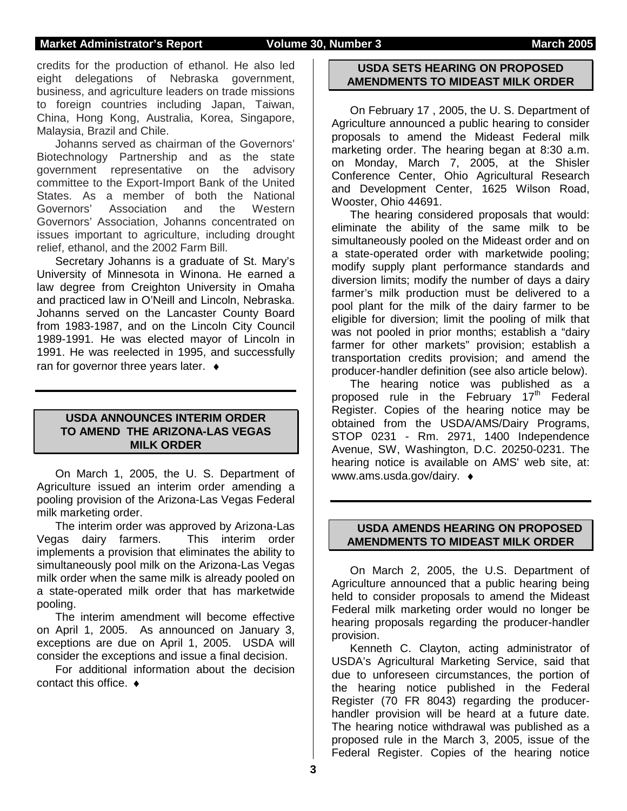### **Market Administrator's Report Volume 30, Number 3 March 2005**

credits for the production of ethanol. He also led eight delegations of Nebraska government, business, and agriculture leaders on trade missions to foreign countries including Japan, Taiwan, China, Hong Kong, Australia, Korea, Singapore, Malaysia, Brazil and Chile.

Johanns served as chairman of the Governors' Biotechnology Partnership and as the state government representative on the advisory committee to the Export-Import Bank of the United States. As a member of both the National Governors' Association and the Western Governors' Association, Johanns concentrated on issues important to agriculture, including drought relief, ethanol, and the 2002 Farm Bill.

Secretary Johanns is a graduate of St. Mary's University of Minnesota in Winona. He earned a law degree from Creighton University in Omaha and practiced law in O'Neill and Lincoln, Nebraska. Johanns served on the Lancaster County Board from 1983-1987, and on the Lincoln City Council 1989-1991. He was elected mayor of Lincoln in 1991. He was reelected in 1995, and successfully ran for governor three years later.  $\bullet$ 

### **USDA ANNOUNCES INTERIM ORDER TO AMEND THE ARIZONA-LAS VEGAS MILK ORDER**

On March 1, 2005, the U. S. Department of Agriculture issued an interim order amending a pooling provision of the Arizona-Las Vegas Federal milk marketing order.

The interim order was approved by Arizona-Las Vegas dairy farmers. This interim order implements a provision that eliminates the ability to simultaneously pool milk on the Arizona-Las Vegas milk order when the same milk is already pooled on a state-operated milk order that has marketwide pooling.

The interim amendment will become effective on April 1, 2005. As announced on January 3, exceptions are due on April 1, 2005. USDA will consider the exceptions and issue a final decision.

For additional information about the decision contact this office. ♦

### **USDA SETS HEARING ON PROPOSED AMENDMENTS TO MIDEAST MILK ORDER**

On February 17 , 2005, the U. S. Department of Agriculture announced a public hearing to consider proposals to amend the Mideast Federal milk marketing order. The hearing began at 8:30 a.m. on Monday, March 7, 2005, at the Shisler Conference Center, Ohio Agricultural Research and Development Center, 1625 Wilson Road, Wooster, Ohio 44691.

The hearing considered proposals that would: eliminate the ability of the same milk to be simultaneously pooled on the Mideast order and on a state-operated order with marketwide pooling; modify supply plant performance standards and diversion limits; modify the number of days a dairy farmer's milk production must be delivered to a pool plant for the milk of the dairy farmer to be eligible for diversion; limit the pooling of milk that was not pooled in prior months; establish a "dairy farmer for other markets" provision; establish a transportation credits provision; and amend the producer-handler definition (see also article below).

The hearing notice was published as a proposed rule in the February  $17<sup>th</sup>$  Federal Register. Copies of the hearing notice may be obtained from the USDA/AMS/Dairy Programs, STOP 0231 - Rm. 2971, 1400 Independence Avenue, SW, Washington, D.C. 20250-0231. The hearing notice is available on AMS' web site, at: www.ams.usda.gov/dairy. ♦

### **USDA AMENDS HEARING ON PROPOSED AMENDMENTS TO MIDEAST MILK ORDER**

On March 2, 2005, the U.S. Department of Agriculture announced that a public hearing being held to consider proposals to amend the Mideast Federal milk marketing order would no longer be hearing proposals regarding the producer-handler provision.

Kenneth C. Clayton, acting administrator of USDA's Agricultural Marketing Service, said that due to unforeseen circumstances, the portion of the hearing notice published in the Federal Register (70 FR 8043) regarding the producerhandler provision will be heard at a future date. The hearing notice withdrawal was published as a proposed rule in the March 3, 2005, issue of the Federal Register. Copies of the hearing notice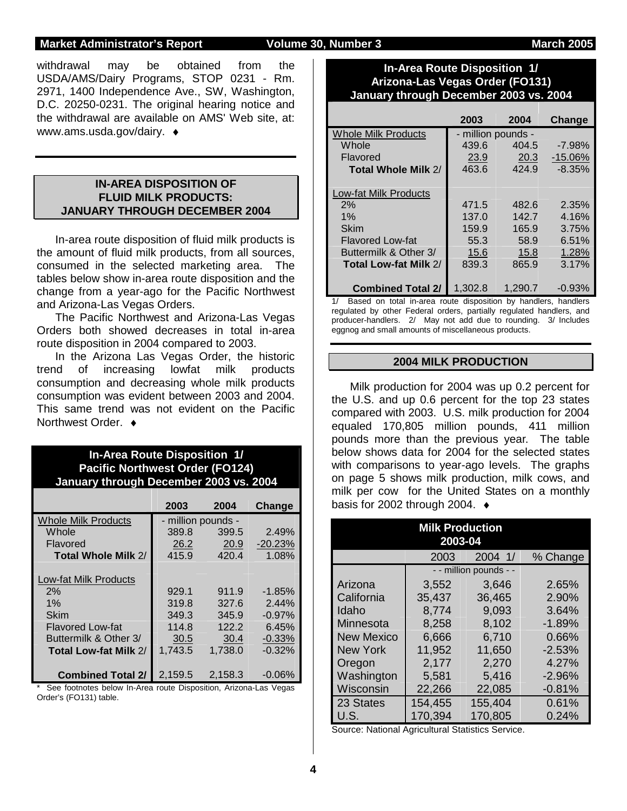### **Market Administrator's Report Colume 30, Number 3 Market Administrator's Report Columne 30, Number 3 March 2005**

withdrawal may be obtained from the USDA/AMS/Dairy Programs, STOP 0231 - Rm. 2971, 1400 Independence Ave., SW, Washington, D.C. 20250-0231. The original hearing notice and the withdrawal are available on AMS' Web site, at: www.ams.usda.gov/dairy. ♦

### **IN-AREA DISPOSITION OF FLUID MILK PRODUCTS: JANUARY THROUGH DECEMBER 2004**

 In-area route disposition of fluid milk products is the amount of fluid milk products, from all sources, consumed in the selected marketing area. The tables below show in-area route disposition and the change from a year-ago for the Pacific Northwest and Arizona-Las Vegas Orders.

 The Pacific Northwest and Arizona-Las Vegas Orders both showed decreases in total in-area route disposition in 2004 compared to 2003.

 In the Arizona Las Vegas Order, the historic trend of increasing lowfat milk products consumption and decreasing whole milk products consumption was evident between 2003 and 2004. This same trend was not evident on the Pacific Northwest Order. ♦

### **In-Area Route Disposition 1/ Pacific Northwest Order (FO124) January through December 2003 vs. 2004**

|                            | 2003               | 2004    | Change    |
|----------------------------|--------------------|---------|-----------|
| <b>Whole Milk Products</b> | - million pounds - |         |           |
| Whole                      | 389.8              | 399.5   | 2.49%     |
| Flavored                   | 26.2               | 20.9    | $-20.23%$ |
| Total Whole Milk 2/        | 415.9              | 420.4   | 1.08%     |
|                            |                    |         |           |
| Low-fat Milk Products      |                    |         |           |
| 2%                         | 929.1              | 911.9   | $-1.85%$  |
| 1%                         | 319.8              | 327.6   | 2.44%     |
| Skim                       | 349.3              | 345.9   | $-0.97%$  |
| <b>Flavored Low-fat</b>    | 114.8              | 122.2   | 6.45%     |
| Buttermilk & Other 3/      | 30.5               | 30.4    | $-0.33%$  |
| Total Low-fat Milk 2/      | 1.743.5            | 1,738.0 | $-0.32%$  |
|                            |                    |         |           |
| <b>Combined Total 2/</b>   | 2,159.5            | 2,158.3 | $-0.06\%$ |

See footnotes below In-Area route Disposition, Arizona-Las Vegas Order's (FO131) table.

### **In-Area Route Disposition 1/ Arizona-Las Vegas Order (FO131) January through December 2003 vs. 2004**

|                              | 2003               | 2004    | Change    |
|------------------------------|--------------------|---------|-----------|
| <b>Whole Milk Products</b>   | - million pounds - |         |           |
| Whole                        | 439.6              | 404.5   | $-7.98%$  |
| Flavored                     | 23.9               | 20.3    | $-15.06%$ |
| Total Whole Milk 2/          | 463.6              | 424.9   | $-8.35%$  |
|                              |                    |         |           |
| <b>Low-fat Milk Products</b> |                    |         |           |
| 2%                           | 471.5              | 482.6   | 2.35%     |
| 1%                           | 137.0              | 142.7   | 4.16%     |
| <b>Skim</b>                  | 159.9              | 165.9   | 3.75%     |
| <b>Flavored Low-fat</b>      | 55.3               | 58.9    | 6.51%     |
| Buttermilk & Other 3/        | 15.6               | 15.8    | 1.28%     |
| Total Low-fat Milk 2/        | 839.3              | 865.9   | 3.17%     |
|                              |                    |         |           |
| <b>Combined Total 2/</b>     | 1.302.8            | 1.290.7 | $-0.93%$  |

Based on total in-area route disposition by handlers, handlers regulated by other Federal orders, partially regulated handlers, and producer-handlers. 2/ May not add due to rounding. 3/ Includes eggnog and small amounts of miscellaneous products.

### **2004 MILK PRODUCTION**

Milk production for 2004 was up 0.2 percent for the U.S. and up 0.6 percent for the top 23 states compared with 2003. U.S. milk production for 2004 equaled 170,805 million pounds, 411 million pounds more than the previous year. The table below shows data for 2004 for the selected states with comparisons to year-ago levels. The graphs on page 5 shows milk production, milk cows, and milk per cow for the United States on a monthly basis for 2002 through 2004. ♦

| <b>Milk Production</b><br>2003-04 |         |                        |          |  |  |  |  |  |  |  |
|-----------------------------------|---------|------------------------|----------|--|--|--|--|--|--|--|
| 2004 1/<br>2003<br>% Change       |         |                        |          |  |  |  |  |  |  |  |
|                                   |         | - - million pounds - - |          |  |  |  |  |  |  |  |
| Arizona                           | 3,552   | 3,646                  | 2.65%    |  |  |  |  |  |  |  |
| California                        | 35,437  | 36,465                 | 2.90%    |  |  |  |  |  |  |  |
| Idaho                             | 8,774   | 9.093                  | 3.64%    |  |  |  |  |  |  |  |
| Minnesota                         | 8,258   | 8,102                  | $-1.89%$ |  |  |  |  |  |  |  |
| <b>New Mexico</b>                 | 6,666   | 6,710                  | 0.66%    |  |  |  |  |  |  |  |
| <b>New York</b>                   | 11,952  | 11,650                 | $-2.53%$ |  |  |  |  |  |  |  |
| Oregon                            | 2,177   | 2,270                  | 4.27%    |  |  |  |  |  |  |  |
| Washington                        | 5,581   | 5,416                  | $-2.96%$ |  |  |  |  |  |  |  |
| Wisconsin                         | 22,266  | 22,085                 | $-0.81%$ |  |  |  |  |  |  |  |
| 23 States                         | 154,455 | 155,404                | 0.61%    |  |  |  |  |  |  |  |
| U.S.                              | 170,394 | 170,805                | 0.24%    |  |  |  |  |  |  |  |

Source: National Agricultural Statistics Service.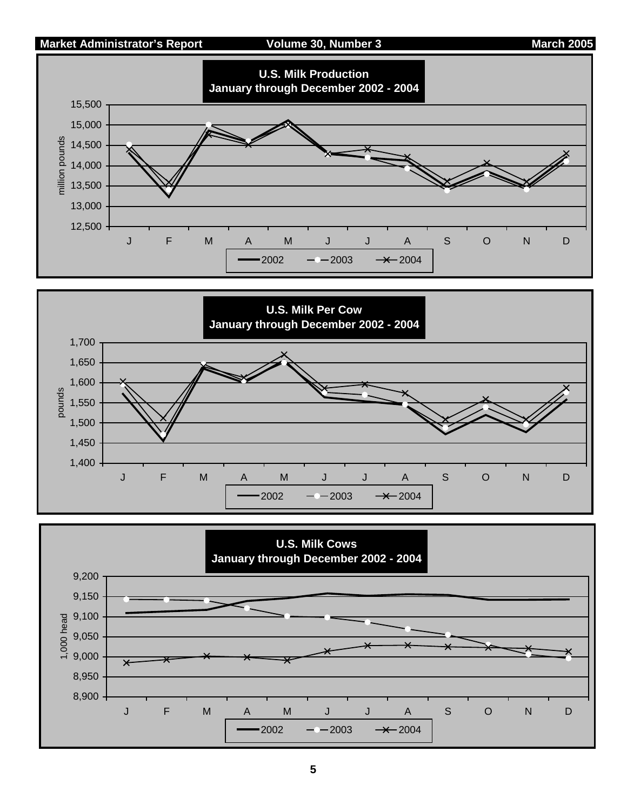### **Market Administrator's Report Colume 30, Number 3 March 2005**





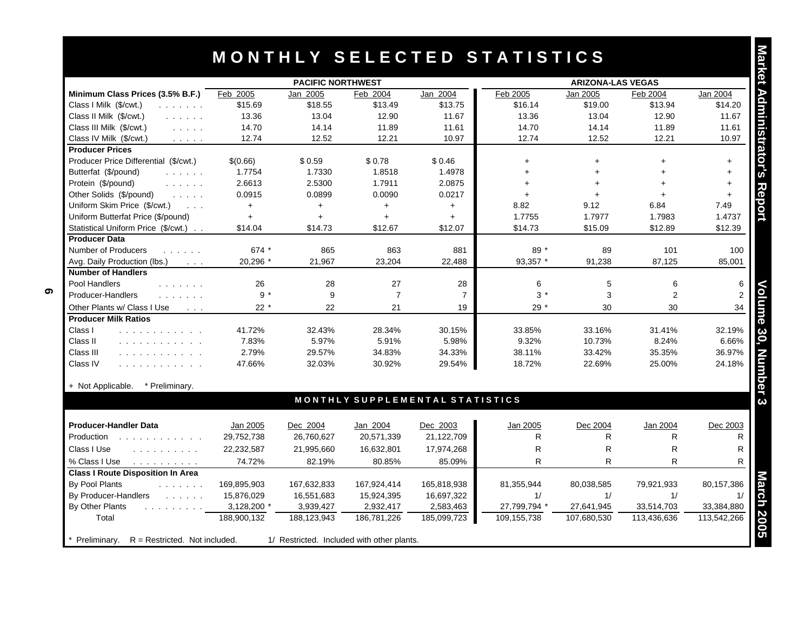|                                                                                                                                                  | <b>PACIFIC NORTHWEST</b> |             |                |                                 |              | <b>ARIZONA-LAS VEGAS</b> |                |                |
|--------------------------------------------------------------------------------------------------------------------------------------------------|--------------------------|-------------|----------------|---------------------------------|--------------|--------------------------|----------------|----------------|
| Minimum Class Prices (3.5% B.F.)                                                                                                                 | Feb 2005                 | Jan 2005    | Feb 2004       | Jan 2004                        | Feb 2005     | Jan 2005                 | Feb 2004       | Jan 2004       |
| Class I Milk (\$/cwt.)<br>and a straight                                                                                                         | \$15.69                  | \$18.55     | \$13.49        | \$13.75                         | \$16.14      | \$19.00                  | \$13.94        | \$14.20        |
| Class II Milk (\$/cwt.)<br>and a state of                                                                                                        | 13.36                    | 13.04       | 12.90          | 11.67                           | 13.36        | 13.04                    | 12.90          | 11.67          |
| Class III Milk (\$/cwt.)<br>and a state                                                                                                          | 14.70                    | 14.14       | 11.89          | 11.61                           | 14.70        | 14.14                    | 11.89          | 11.61          |
| Class IV Milk (\$/cwt.)<br>$\mathcal{L}^{\mathcal{A}}$ , $\mathcal{L}^{\mathcal{A}}$ , $\mathcal{L}^{\mathcal{A}}$ , $\mathcal{L}^{\mathcal{A}}$ | 12.74                    | 12.52       | 12.21          | 10.97                           | 12.74        | 12.52                    | 12.21          | 10.97          |
| <b>Producer Prices</b>                                                                                                                           |                          |             |                |                                 |              |                          |                |                |
| Producer Price Differential (\$/cwt.)                                                                                                            | \$(0.66)                 | \$0.59      | \$0.78         | \$0.46                          | $+$          | $+$                      | $\ddot{}$      | $+$            |
| Butterfat (\$/pound)<br>and a straight                                                                                                           | 1.7754                   | 1.7330      | 1.8518         | 1.4978                          | $+$          | $+$                      |                | $+$            |
| Protein (\$/pound)<br>and a straight                                                                                                             | 2.6613                   | 2.5300      | 1.7911         | 2.0875                          | $+$          | $\ddot{}$                |                | $+$            |
| Other Solids (\$/pound)<br>$\mathcal{L}^{\mathcal{A}}$ , $\mathcal{L}^{\mathcal{A}}$ , $\mathcal{L}^{\mathcal{A}}$                               | 0.0915                   | 0.0899      | 0.0090         | 0.0217                          | $+$          | $+$                      |                | $+$            |
| Uniform Skim Price (\$/cwt.)<br>$\sim$ 100 $\sim$                                                                                                | $+$                      | $+$         | $+$            | $+$                             | 8.82         | 9.12                     | 6.84           | 7.49           |
| Uniform Butterfat Price (\$/pound)                                                                                                               | $\ddotmark$              | $+$         | $+$            | $+$                             | 1.7755       | 1.7977                   | 1.7983         | 1.4737         |
| Statistical Uniform Price (\$/cwt.)                                                                                                              | \$14.04                  | \$14.73     | \$12.67        | \$12.07                         | \$14.73      | \$15.09                  | \$12.89        | \$12.39        |
| <b>Producer Data</b>                                                                                                                             |                          |             |                |                                 |              |                          |                |                |
| Number of Producers<br>and a strain and                                                                                                          | 674 *                    | 865         | 863            | 881                             | $89*$        | 89                       | 101            | 100            |
| Avg. Daily Production (lbs.)<br>$\sim 100$ km s $^{-1}$                                                                                          | 20,296 *                 | 21,967      | 23,204         | 22,488                          | 93,357 *     | 91,238                   | 87,125         | 85,001         |
| <b>Number of Handlers</b>                                                                                                                        |                          |             |                |                                 |              |                          |                |                |
| Pool Handlers<br>.                                                                                                                               | 26                       | 28          | 27             | 28                              | 6            | 5                        | 6              | 6              |
| Producer-Handlers<br>and a strain and                                                                                                            | $9 *$                    | 9           | $\overline{7}$ | $\overline{7}$                  | $3 *$        | 3                        | $\overline{c}$ | $\mathfrak{p}$ |
| Other Plants w/ Class I Use<br>$\sim$ $\sim$ $\sim$                                                                                              | $22 *$                   | 22          | 21             | 19                              | $29*$        | 30                       | 30             | 34             |
| <b>Producer Milk Ratios</b>                                                                                                                      |                          |             |                |                                 |              |                          |                |                |
| Class I<br>.                                                                                                                                     | 41.72%                   | 32.43%      | 28.34%         | 30.15%                          | 33.85%       | 33.16%                   | 31.41%         | 32.19%         |
| Class II<br>.                                                                                                                                    | 7.83%                    | 5.97%       | 5.91%          | 5.98%                           | 9.32%        | 10.73%                   | 8.24%          | 6.66%          |
| Class III<br>.                                                                                                                                   | 2.79%                    | 29.57%      | 34.83%         | 34.33%                          | 38.11%       | 33.42%                   | 35.35%         | 36.97%         |
| Class IV<br>.                                                                                                                                    | 47.66%                   | 32.03%      | 30.92%         | 29.54%                          | 18.72%       | 22.69%                   | 25.00%         | 24.18%         |
| + Not Applicable.<br>* Preliminary.                                                                                                              |                          |             |                |                                 |              |                          |                |                |
|                                                                                                                                                  |                          |             |                | MONTHLY SUPPLEMENTAL STATISTICS |              |                          |                |                |
| <b>Producer-Handler Data</b>                                                                                                                     | Jan 2005                 | Dec 2004    | Jan 2004       | Dec 2003                        | Jan 2005     | Dec 2004                 | Jan 2004       | Dec 2003       |
| Production                                                                                                                                       | 29,752,738               | 26,760,627  | 20,571,339     | 21,122,709                      | R            | R                        | R              | R              |
| Class I Use<br>and a contract and a                                                                                                              | 22,232,587               | 21,995,660  | 16,632,801     | 17,974,268                      | R            | R                        | R              | R              |
| % Class I Use<br>and a straightful control                                                                                                       | 74.72%                   | 82.19%      | 80.85%         | 85.09%                          | R.           | R.                       | R              | R              |
| <b>Class I Route Disposition In Area</b>                                                                                                         |                          |             |                |                                 |              |                          |                |                |
| By Pool Plants<br>and a straight                                                                                                                 | 169,895,903              | 167,632,833 | 167,924,414    | 165,818,938                     | 81,355,944   | 80,038,585               | 79,921,933     | 80,157,386     |
| By Producer-Handlers<br><b>Contract Contract</b>                                                                                                 | 15,876,029               | 16,551,683  | 15,924,395     | 16,697,322                      | 1/           | 1/                       | 1/             |                |
| By Other Plants<br>and a straight and a                                                                                                          | 3,128,200 *              | 3,939,427   | 2,932,417      | 2,583,463                       | 27,799,794 * | 27,641,945               | 33,514,703     | 33,384,880     |
| Total                                                                                                                                            | 188,900,132              |             |                |                                 |              |                          |                |                |

| <b>Producer-Handler Data</b>                                                                                                                                                                                                                      | Jan 2005    | Dec 2004    | Jan 2004                                   | Dec 2003    | Jan 2005     | Dec 2004    | Jan 2004    | Dec 2003    |
|---------------------------------------------------------------------------------------------------------------------------------------------------------------------------------------------------------------------------------------------------|-------------|-------------|--------------------------------------------|-------------|--------------|-------------|-------------|-------------|
| Production<br>.                                                                                                                                                                                                                                   | 29,752,738  | 26,760,627  | 20,571,339                                 | 21,122,709  | R            | R           | R           |             |
| Class I Use<br>.                                                                                                                                                                                                                                  | 22,232,587  | 21,995,660  | 16,632,801                                 | 17,974,268  | R            | R           | R           | R           |
| % Class I Use                                                                                                                                                                                                                                     | 74.72%      | 82.19%      | 80.85%                                     | 85.09%      | R            | R           | R           | R           |
| <b>Class I Route Disposition In Area</b>                                                                                                                                                                                                          |             |             |                                            |             |              |             |             |             |
| By Pool Plants                                                                                                                                                                                                                                    | 169,895,903 | 167,632,833 | 167.924.414                                | 165,818,938 | 81.355.944   | 80,038,585  | 79.921.933  | 80,157,386  |
| By Producer-Handlers<br>and a strain and                                                                                                                                                                                                          | 15,876,029  | 16,551,683  | 15,924,395                                 | 16,697,322  |              |             |             |             |
| By Other Plants<br>and a series of the series of the series of the series of the series of the series of the series of the series of the series of the series of the series of the series of the series of the series of the series of the series | 3,128,200 * | 3,939,427   | 2,932,417                                  | 2,583,463   | 27,799,794 * | 27,641,945  | 33,514,703  | 33,384,880  |
| Total                                                                                                                                                                                                                                             | 188,900,132 | 188,123,943 | 186,781,226                                | 185,099,723 | 109,155,738  | 107,680,530 | 113,436,636 | 113,542,266 |
|                                                                                                                                                                                                                                                   |             |             |                                            |             |              |             |             |             |
| $R =$ Restricted. Not included.<br>Preliminarv.                                                                                                                                                                                                   |             |             | 1/ Restricted. Included with other plants. |             |              |             |             |             |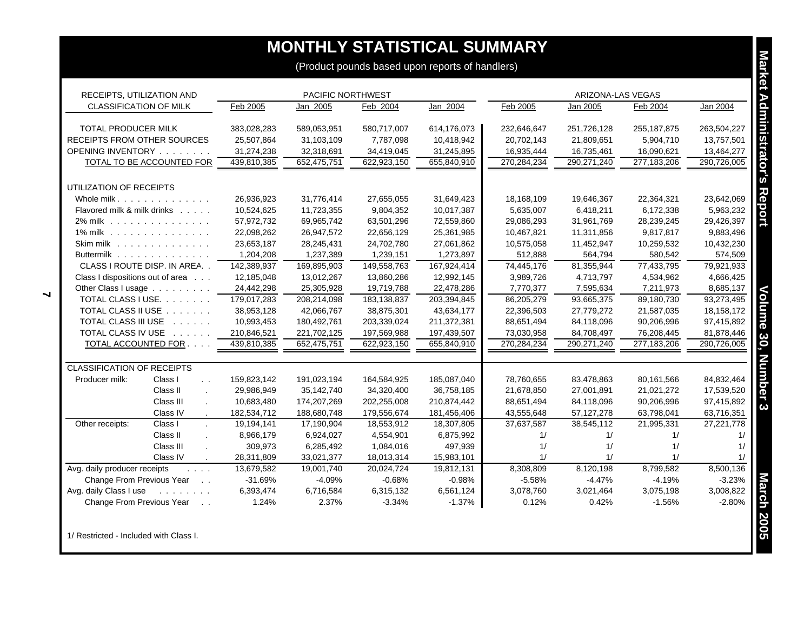# **MONTHLY STATISTICAL SUMMARY**

| RECEIPTS, UTILIZATION AND                         | PACIFIC NORTHWEST |             |             |             | ARIZONA-LAS VEGAS |              |               |             |
|---------------------------------------------------|-------------------|-------------|-------------|-------------|-------------------|--------------|---------------|-------------|
| <b>CLASSIFICATION OF MILK</b>                     | Feb 2005          | Jan 2005    | Feb 2004    | Jan 2004    | Feb 2005          | Jan 2005     | Feb 2004      | Jan 2004    |
| <b>TOTAL PRODUCER MILK</b>                        | 383,028,283       | 589,053,951 | 580,717,007 | 614,176,073 | 232,646,647       | 251,726,128  | 255, 187, 875 | 263,504,227 |
| RECEIPTS FROM OTHER SOURCES                       | 25,507,864        | 31,103,109  | 7,787,098   | 10,418,942  | 20,702,143        | 21,809,651   | 5,904,710     | 13,757,501  |
| OPENING INVENTORY                                 | 31,274,238        | 32,318,691  | 34,419,045  | 31,245,895  | 16,935,444        | 16,735,461   | 16,090,621    | 13,464,277  |
| <b>TOTAL TO BE ACCOUNTED FOR</b>                  | 439,810,385       | 652,475,751 | 622,923,150 | 655,840,910 | 270,284,234       | 290,271,240  | 277,183,206   | 290,726,005 |
| UTILIZATION OF RECEIPTS                           |                   |             |             |             |                   |              |               |             |
| Whole milk.                                       | 26,936,923        | 31,776,414  | 27,655,055  | 31,649,423  | 18,168,109        | 19,646,367   | 22,364,321    | 23,642,069  |
| Flavored milk & milk drinks                       | 10,524,625        | 11,723,355  | 9,804,352   | 10,017,387  | 5,635,007         | 6,418,211    | 6,172,338     | 5,963,232   |
| 2% milk                                           | 57,972,732        | 69,965,742  | 63,501,296  | 72,559,860  | 29,086,293        | 31,961,769   | 28,239,245    | 29,426,397  |
| 1% milk                                           | 22,098,262        | 26,947,572  | 22,656,129  | 25,361,985  | 10,467,821        | 11,311,856   | 9,817,817     | 9,883,496   |
| Skim milk $\ldots$                                | 23,653,187        | 28,245,431  | 24,702,780  | 27,061,862  | 10,575,058        | 11,452,947   | 10,259,532    | 10,432,230  |
| Buttermilk                                        | 1,204,208         | 1,237,389   | 1,239,151   | 1,273,897   | 512,888           | 564,794      | 580,542       | 574,509     |
| CLASS I ROUTE DISP. IN AREA                       | 142,389,937       | 169,895,903 | 149,558,763 | 167,924,414 | 74,445,176        | 81,355,944   | 77,433,795    | 79,921,933  |
| Class I dispositions out of area                  | 12,185,048        | 13,012,267  | 13,860,286  | 12,992,145  | 3,989,726         | 4,713,797    | 4,534,962     | 4,666,425   |
| Other Class I usage                               | 24,442,298        | 25,305,928  | 19,719,788  | 22,478,286  | 7,770,377         | 7,595,634    | 7,211,973     | 8,685,137   |
| TOTAL CLASS I USE.                                | 179,017,283       | 208,214,098 | 183,138,837 | 203,394,845 | 86,205,279        | 93,665,375   | 89,180,730    | 93,273,495  |
| TOTAL CLASS II USE                                | 38,953,128        | 42,066,767  | 38,875,301  | 43,634,177  | 22,396,503        | 27,779,272   | 21,587,035    | 18,158,172  |
| TOTAL CLASS III USE                               | 10,993,453        | 180,492,761 | 203,339,024 | 211,372,381 | 88,651,494        | 84,118,096   | 90,206,996    | 97,415,892  |
| TOTAL CLASS IV USE                                | 210,846,521       | 221,702,125 | 197,569,988 | 197,439,507 | 73,030,958        | 84,708,497   | 76,208,445    | 81,878,446  |
| TOTAL ACCOUNTED FOR                               | 439,810,385       | 652,475,751 | 622,923,150 | 655,840,910 | 270,284,234       | 290,271,240  | 277,183,206   | 290,726,005 |
| <b>CLASSIFICATION OF RECEIPTS</b>                 |                   |             |             |             |                   |              |               |             |
| Class I<br>Producer milk:<br>$\ddot{\phantom{0}}$ | 159,823,142       | 191,023,194 | 164,584,925 | 185,087,040 | 78,760,655        | 83,478,863   | 80,161,566    | 84,832,464  |
| Class II                                          | 29,986,949        | 35,142,740  | 34,320,400  | 36,758,185  | 21,678,850        | 27,001,891   | 21,021,272    | 17,539,520  |
| Class III                                         | 10,683,480        | 174,207,269 | 202,255,008 | 210,874,442 | 88,651,494        | 84,118,096   | 90,206,996    | 97,415,892  |
| Class IV<br>$\cdot$                               | 182,534,712       | 188,680,748 | 179,556,674 | 181,456,406 | 43,555,648        | 57, 127, 278 | 63,798,041    | 63,716,351  |
| Other receipts:<br>Class I                        | 19,194,141        | 17,190,904  | 18,553,912  | 18,307,805  | 37,637,587        | 38,545,112   | 21,995,331    | 27,221,778  |
| Class II                                          | 8,966,179         | 6,924,027   | 4,554,901   | 6,875,992   | 1/                | 1/           | 1/            | 1/          |
| Class III                                         | 309,973           | 6,285,492   | 1,084,016   | 497,939     | 1/                | 1/           | 1/            | 1/          |
| Class IV                                          | 28,311,809        | 33,021,377  | 18,013,314  | 15,983,101  | 1/                | 1/           | 1/            | 1/          |
| Avg. daily producer receipts<br><b>Contractor</b> | 13,679,582        | 19,001,740  | 20,024,724  | 19,812,131  | 8,308,809         | 8,120,198    | 8,799,582     | 8,500,136   |
| Change From Previous Year<br>$\sim 10$            | $-31.69%$         | $-4.09%$    | $-0.68%$    | $-0.98%$    | $-5.58%$          | $-4.47%$     | $-4.19%$      | $-3.23%$    |
| Avg. daily Class I use<br>and a straight and      | 6,393,474         | 6,716,584   | 6,315,132   | 6,561,124   | 3,078,760         | 3,021,464    | 3,075,198     | 3,008,822   |
| Change From Previous Year                         | 1.24%             | 2.37%       | $-3.34%$    | $-1.37%$    | 0.12%             | 0.42%        | $-1.56%$      | $-2.80%$    |

1/ Restricted - Included with Class I.